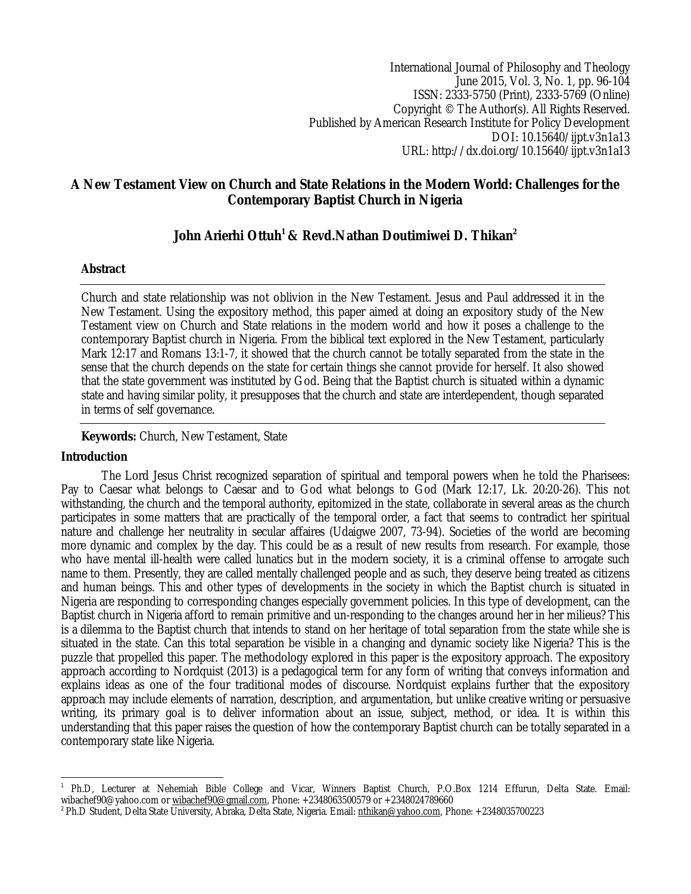International Journal of Philosophy and Theology June 2015, Vol. 3, No. 1, pp. 96-104 ISSN: 2333-5750 (Print), 2333-5769 (Online) Copyright © The Author(s). All Rights Reserved. Published by American Research Institute for Policy Development DOI: 10.15640/ijpt.v3n1a13 URL: http://dx.doi.org/10.15640/ijpt.v3n1a13

# **A New Testament View on Church and State Relations in the Modern World: Challenges for the Contemporary Baptist Church in Nigeria**

# **John Arierhi Ottuh<sup>1</sup> & Revd.Nathan Doutimiwei D. Thikan<sup>2</sup>**

# **Abstract**

Church and state relationship was not oblivion in the New Testament. Jesus and Paul addressed it in the New Testament. Using the expository method, this paper aimed at doing an expository study of the New Testament view on Church and State relations in the modern world and how it poses a challenge to the contemporary Baptist church in Nigeria. From the biblical text explored in the New Testament, particularly Mark 12:17 and Romans 13:1-7, it showed that the church cannot be totally separated from the state in the sense that the church depends on the state for certain things she cannot provide for herself. It also showed that the state government was instituted by God. Being that the Baptist church is situated within a dynamic state and having similar polity, it presupposes that the church and state are interdependent, though separated in terms of self governance.

# **Keywords:** Church, New Testament, State

## **Introduction**

The Lord Jesus Christ recognized separation of spiritual and temporal powers when he told the Pharisees: Pay to Caesar what belongs to Caesar and to God what belongs to God (Mark 12:17, Lk. 20:20-26). This not withstanding, the church and the temporal authority, epitomized in the state, collaborate in several areas as the church participates in some matters that are practically of the temporal order, a fact that seems to contradict her spiritual nature and challenge her neutrality in secular affaires (Udaigwe 2007, 73-94). Societies of the world are becoming more dynamic and complex by the day. This could be as a result of new results from research. For example, those who have mental ill-health were called lunatics but in the modern society, it is a criminal offense to arrogate such name to them. Presently, they are called mentally challenged people and as such, they deserve being treated as citizens and human beings. This and other types of developments in the society in which the Baptist church is situated in Nigeria are responding to corresponding changes especially government policies. In this type of development, can the Baptist church in Nigeria afford to remain primitive and un-responding to the changes around her in her milieus? This is a dilemma to the Baptist church that intends to stand on her heritage of total separation from the state while she is situated in the state. Can this total separation be visible in a changing and dynamic society like Nigeria? This is the puzzle that propelled this paper. The methodology explored in this paper is the expository approach. The expository approach according to Nordquist (2013) is a pedagogical term for any form of writing that conveys information and explains ideas as one of the four traditional modes of discourse. Nordquist explains further that the expository approach may include elements of narration, description, and argumentation, but unlike creative writing or persuasive writing, its primary goal is to deliver information about an issue, subject, method, or idea. It is within this understanding that this paper raises the question of how the contemporary Baptist church can be totally separated in a contemporary state like Nigeria.

 $\overline{a}$ 1 Ph.D, Lecturer at Nehemiah Bible College and Vicar, Winners Baptist Church, P.O.Box 1214 Effurun, Delta State. Email: wibachef90@yahoo.com or wibachef90@gmail.com, Phone: +2348063500579 or +2348024789660

<sup>2</sup> Ph.D Student, Delta State University, Abraka, Delta State, Nigeria. Email: nthikan@yahoo.com, Phone: +2348035700223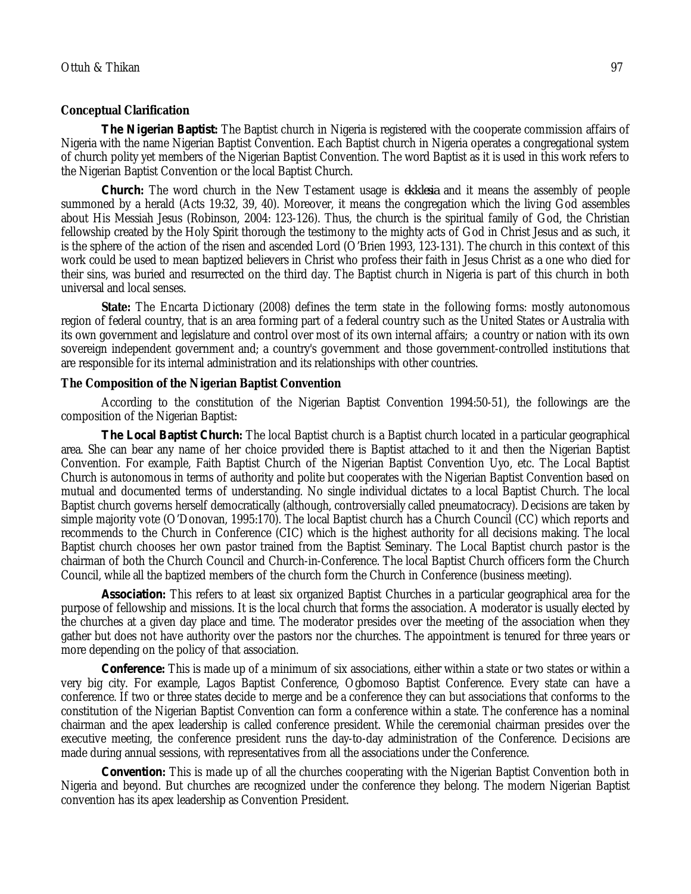#### **Conceptual Clarification**

*The Nigerian Baptist***:** The Baptist church in Nigeria is registered with the cooperate commission affairs of Nigeria with the name Nigerian Baptist Convention. Each Baptist church in Nigeria operates a congregational system of church polity yet members of the Nigerian Baptist Convention. The word Baptist as it is used in this work refers to the Nigerian Baptist Convention or the local Baptist Church.

*Church***:** The word church in the New Testament usage is *ekklesia* and it means the assembly of people summoned by a herald (Acts 19:32, 39, 40). Moreover, it means the congregation which the living God assembles about His Messiah Jesus (Robinson, 2004: 123-126). Thus, the church is the spiritual family of God, the Christian fellowship created by the Holy Spirit thorough the testimony to the mighty acts of God in Christ Jesus and as such, it is the sphere of the action of the risen and ascended Lord (O'Brien 1993, 123-131). The church in this context of this work could be used to mean baptized believers in Christ who profess their faith in Jesus Christ as a one who died for their sins, was buried and resurrected on the third day. The Baptist church in Nigeria is part of this church in both universal and local senses.

**State:** The Encarta Dictionary (2008) defines the term state in the following forms: mostly autonomous region of federal country, that is an area forming part of a federal country such as the United States or Australia with its own government and legislature and control over most of its own internal affairs; a country or nation with its own sovereign independent government and; a country's government and those government-controlled institutions that are responsible for its internal administration and its relationships with other countries.

#### **The Composition of the Nigerian Baptist Convention**

According to the constitution of the Nigerian Baptist Convention 1994:50-51), the followings are the composition of the Nigerian Baptist:

*The Local Baptist Church***:** The local Baptist church is a Baptist church located in a particular geographical area. She can bear any name of her choice provided there is Baptist attached to it and then the Nigerian Baptist Convention. For example, Faith Baptist Church of the Nigerian Baptist Convention Uyo, etc. The Local Baptist Church is autonomous in terms of authority and polite but cooperates with the Nigerian Baptist Convention based on mutual and documented terms of understanding. No single individual dictates to a local Baptist Church. The local Baptist church governs herself democratically (although, controversially called pneumatocracy). Decisions are taken by simple majority vote (O'Donovan, 1995:170). The local Baptist church has a Church Council (CC) which reports and recommends to the Church in Conference (CIC) which is the highest authority for all decisions making. The local Baptist church chooses her own pastor trained from the Baptist Seminary. The Local Baptist church pastor is the chairman of both the Church Council and Church-in-Conference. The local Baptist Church officers form the Church Council, while all the baptized members of the church form the Church in Conference (business meeting).

*Association***:** This refers to at least six organized Baptist Churches in a particular geographical area for the purpose of fellowship and missions. It is the local church that forms the association. A moderator is usually elected by the churches at a given day place and time. The moderator presides over the meeting of the association when they gather but does not have authority over the pastors nor the churches. The appointment is tenured for three years or more depending on the policy of that association.

*Conference***:** This is made up of a minimum of six associations, either within a state or two states or within a very big city. For example, Lagos Baptist Conference, Ogbomoso Baptist Conference. Every state can have a conference. If two or three states decide to merge and be a conference they can but associations that conforms to the constitution of the Nigerian Baptist Convention can form a conference within a state. The conference has a nominal chairman and the apex leadership is called conference president. While the ceremonial chairman presides over the executive meeting, the conference president runs the day-to-day administration of the Conference. Decisions are made during annual sessions, with representatives from all the associations under the Conference.

*Convention***:** This is made up of all the churches cooperating with the Nigerian Baptist Convention both in Nigeria and beyond. But churches are recognized under the conference they belong. The modern Nigerian Baptist convention has its apex leadership as Convention President.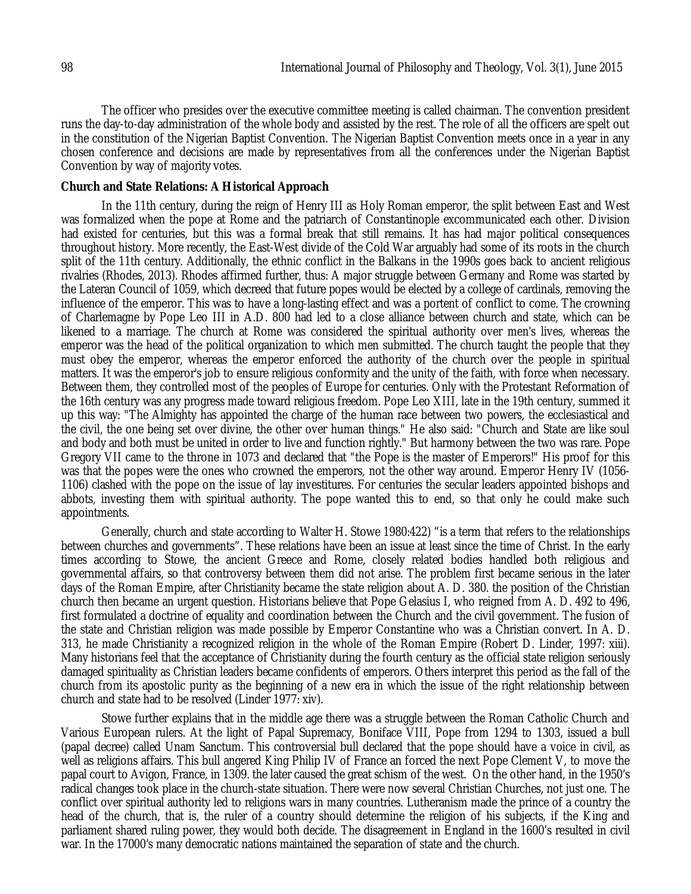The officer who presides over the executive committee meeting is called chairman. The convention president runs the day-to-day administration of the whole body and assisted by the rest. The role of all the officers are spelt out in the constitution of the Nigerian Baptist Convention. The Nigerian Baptist Convention meets once in a year in any chosen conference and decisions are made by representatives from all the conferences under the Nigerian Baptist Convention by way of majority votes.

## **Church and State Relations: A Historical Approach**

In the 11th century, during the reign of Henry III as Holy Roman emperor, the split between East and West was formalized when the pope at Rome and the patriarch of Constantinople excommunicated each other. Division had existed for centuries, but this was a formal break that still remains. It has had major political consequences throughout history. More recently, the East-West divide of the Cold War arguably had some of its roots in the church split of the 11th century. Additionally, the ethnic conflict in the Balkans in the 1990s goes back to ancient religious rivalries (Rhodes, 2013). Rhodes affirmed further, thus: A major struggle between Germany and Rome was started by the Lateran Council of 1059, which decreed that future popes would be elected by a college of cardinals, removing the influence of the emperor. This was to have a long-lasting effect and was a portent of conflict to come. The crowning of Charlemagne by Pope Leo III in A.D. 800 had led to a close alliance between church and state, which can be likened to a marriage. The church at Rome was considered the spiritual authority over men's lives, whereas the emperor was the head of the political organization to which men submitted. The church taught the people that they must obey the emperor, whereas the emperor enforced the authority of the church over the people in spiritual matters. It was the emperor's job to ensure religious conformity and the unity of the faith, with force when necessary. Between them, they controlled most of the peoples of Europe for centuries. Only with the Protestant Reformation of the 16th century was any progress made toward religious freedom. Pope Leo XIII, late in the 19th century, summed it up this way: "The Almighty has appointed the charge of the human race between two powers, the ecclesiastical and the civil, the one being set over divine, the other over human things." He also said: "Church and State are like soul and body and both must be united in order to live and function rightly." But harmony between the two was rare. Pope Gregory VII came to the throne in 1073 and declared that "the Pope is the master of Emperors!" His proof for this was that the popes were the ones who crowned the emperors, not the other way around. Emperor Henry IV (1056- 1106) clashed with the pope on the issue of lay investitures. For centuries the secular leaders appointed bishops and abbots, investing them with spiritual authority. The pope wanted this to end, so that only he could make such appointments.

Generally, church and state according to Walter H. Stowe 1980:422) "is a term that refers to the relationships between churches and governments". These relations have been an issue at least since the time of Christ. In the early times according to Stowe, the ancient Greece and Rome, closely related bodies handled both religious and governmental affairs, so that controversy between them did not arise. The problem first became serious in the later days of the Roman Empire, after Christianity became the state religion about A. D. 380. the position of the Christian church then became an urgent question. Historians believe that Pope Gelasius I, who reigned from A. D. 492 to 496, first formulated a doctrine of equality and coordination between the Church and the civil government. The fusion of the state and Christian religion was made possible by Emperor Constantine who was a Christian convert. In A. D. 313, he made Christianity a recognized religion in the whole of the Roman Empire (Robert D. Linder, 1997: xiii). Many historians feel that the acceptance of Christianity during the fourth century as the official state religion seriously damaged spirituality as Christian leaders became confidents of emperors. Others interpret this period as the fall of the church from its apostolic purity as the beginning of a new era in which the issue of the right relationship between church and state had to be resolved (Linder 1977: xiv).

Stowe further explains that in the middle age there was a struggle between the Roman Catholic Church and Various European rulers. At the light of Papal Supremacy, Boniface VIII, Pope from 1294 to 1303, issued a bull (papal decree) called Unam Sanctum. This controversial bull declared that the pope should have a voice in civil, as well as religions affairs. This bull angered King Philip IV of France an forced the next Pope Clement V, to move the papal court to Avigon, France, in 1309. the later caused the great schism of the west. On the other hand, in the 1950's radical changes took place in the church-state situation. There were now several Christian Churches, not just one. The conflict over spiritual authority led to religions wars in many countries. Lutheranism made the prince of a country the head of the church, that is, the ruler of a country should determine the religion of his subjects, if the King and parliament shared ruling power, they would both decide. The disagreement in England in the 1600's resulted in civil war. In the 17000's many democratic nations maintained the separation of state and the church.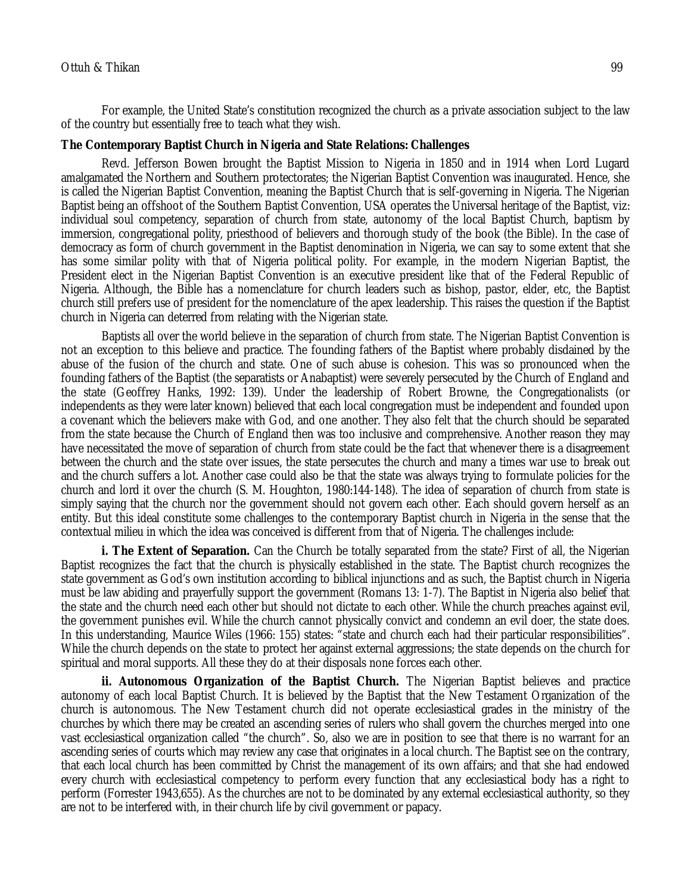For example, the United State's constitution recognized the church as a private association subject to the law of the country but essentially free to teach what they wish.

## **The Contemporary Baptist Church in Nigeria and State Relations: Challenges**

Revd. Jefferson Bowen brought the Baptist Mission to Nigeria in 1850 and in 1914 when Lord Lugard amalgamated the Northern and Southern protectorates; the Nigerian Baptist Convention was inaugurated. Hence, she is called the Nigerian Baptist Convention, meaning the Baptist Church that is self-governing in Nigeria. The Nigerian Baptist being an offshoot of the Southern Baptist Convention, USA operates the Universal heritage of the Baptist, viz: individual soul competency, separation of church from state, autonomy of the local Baptist Church, baptism by immersion, congregational polity, priesthood of believers and thorough study of the book (the Bible). In the case of democracy as form of church government in the Baptist denomination in Nigeria, we can say to some extent that she has some similar polity with that of Nigeria political polity. For example, in the modern Nigerian Baptist, the President elect in the Nigerian Baptist Convention is an executive president like that of the Federal Republic of Nigeria. Although, the Bible has a nomenclature for church leaders such as bishop, pastor, elder, etc, the Baptist church still prefers use of president for the nomenclature of the apex leadership. This raises the question if the Baptist church in Nigeria can deterred from relating with the Nigerian state.

Baptists all over the world believe in the separation of church from state. The Nigerian Baptist Convention is not an exception to this believe and practice. The founding fathers of the Baptist where probably disdained by the abuse of the fusion of the church and state. One of such abuse is cohesion. This was so pronounced when the founding fathers of the Baptist (the separatists or Anabaptist) were severely persecuted by the Church of England and the state (Geoffrey Hanks, 1992: 139). Under the leadership of Robert Browne, the Congregationalists (or independents as they were later known) believed that each local congregation must be independent and founded upon a covenant which the believers make with God, and one another. They also felt that the church should be separated from the state because the Church of England then was too inclusive and comprehensive. Another reason they may have necessitated the move of separation of church from state could be the fact that whenever there is a disagreement between the church and the state over issues, the state persecutes the church and many a times war use to break out and the church suffers a lot. Another case could also be that the state was always trying to formulate policies for the church and lord it over the church (S. M. Houghton, 1980:144-148). The idea of separation of church from state is simply saying that the church nor the government should not govern each other. Each should govern herself as an entity. But this ideal constitute some challenges to the contemporary Baptist church in Nigeria in the sense that the contextual milieu in which the idea was conceived is different from that of Nigeria. The challenges include:

**i. The Extent of Separation.** Can the Church be totally separated from the state? First of all, the Nigerian Baptist recognizes the fact that the church is physically established in the state. The Baptist church recognizes the state government as God's own institution according to biblical injunctions and as such, the Baptist church in Nigeria must be law abiding and prayerfully support the government (Romans 13: 1-7). The Baptist in Nigeria also belief that the state and the church need each other but should not dictate to each other. While the church preaches against evil, the government punishes evil. While the church cannot physically convict and condemn an evil doer, the state does. In this understanding, Maurice Wiles (1966: 155) states: "state and church each had their particular responsibilities". While the church depends on the state to protect her against external aggressions; the state depends on the church for spiritual and moral supports. All these they do at their disposals none forces each other.

**ii. Autonomous Organization of the Baptist Church.** The Nigerian Baptist believes and practice autonomy of each local Baptist Church. It is believed by the Baptist that the New Testament Organization of the church is autonomous. The New Testament church did not operate ecclesiastical grades in the ministry of the churches by which there may be created an ascending series of rulers who shall govern the churches merged into one vast ecclesiastical organization called "the church". So, also we are in position to see that there is no warrant for an ascending series of courts which may review any case that originates in a local church. The Baptist see on the contrary, that each local church has been committed by Christ the management of its own affairs; and that she had endowed every church with ecclesiastical competency to perform every function that any ecclesiastical body has a right to perform (Forrester 1943,655). As the churches are not to be dominated by any external ecclesiastical authority, so they are not to be interfered with, in their church life by civil government or papacy.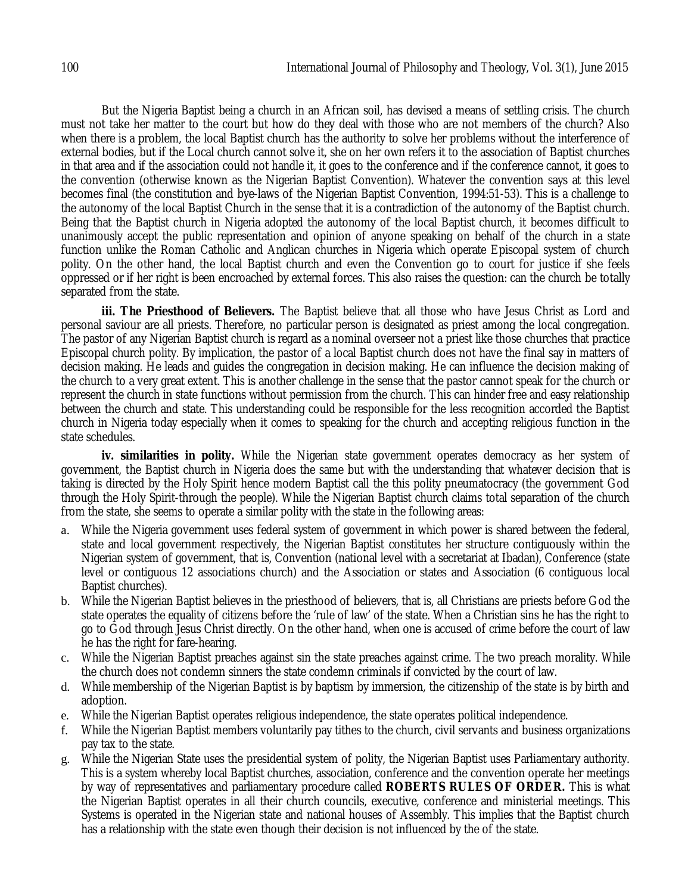But the Nigeria Baptist being a church in an African soil, has devised a means of settling crisis. The church must not take her matter to the court but how do they deal with those who are not members of the church? Also when there is a problem, the local Baptist church has the authority to solve her problems without the interference of external bodies, but if the Local church cannot solve it, she on her own refers it to the association of Baptist churches in that area and if the association could not handle it, it goes to the conference and if the conference cannot, it goes to the convention (otherwise known as the Nigerian Baptist Convention). Whatever the convention says at this level becomes final (the constitution and bye-laws of the Nigerian Baptist Convention, 1994:51-53). This is a challenge to the autonomy of the local Baptist Church in the sense that it is a contradiction of the autonomy of the Baptist church. Being that the Baptist church in Nigeria adopted the autonomy of the local Baptist church, it becomes difficult to unanimously accept the public representation and opinion of anyone speaking on behalf of the church in a state function unlike the Roman Catholic and Anglican churches in Nigeria which operate Episcopal system of church polity. On the other hand, the local Baptist church and even the Convention go to court for justice if she feels oppressed or if her right is been encroached by external forces. This also raises the question: can the church be totally separated from the state.

iii. The Priesthood of Believers. The Baptist believe that all those who have Jesus Christ as Lord and personal saviour are all priests. Therefore, no particular person is designated as priest among the local congregation. The pastor of any Nigerian Baptist church is regard as a nominal overseer not a priest like those churches that practice Episcopal church polity. By implication, the pastor of a local Baptist church does not have the final say in matters of decision making. He leads and guides the congregation in decision making. He can influence the decision making of the church to a very great extent. This is another challenge in the sense that the pastor cannot speak for the church or represent the church in state functions without permission from the church. This can hinder free and easy relationship between the church and state. This understanding could be responsible for the less recognition accorded the Baptist church in Nigeria today especially when it comes to speaking for the church and accepting religious function in the state schedules.

**iv. similarities in polity.** While the Nigerian state government operates democracy as her system of government, the Baptist church in Nigeria does the same but with the understanding that whatever decision that is taking is directed by the Holy Spirit hence modern Baptist call the this polity pneumatocracy (the government God through the Holy Spirit-through the people). While the Nigerian Baptist church claims total separation of the church from the state, she seems to operate a similar polity with the state in the following areas:

- a. While the Nigeria government uses federal system of government in which power is shared between the federal, state and local government respectively, the Nigerian Baptist constitutes her structure contiguously within the Nigerian system of government, that is, Convention (national level with a secretariat at Ibadan), Conference (state level or contiguous 12 associations church) and the Association or states and Association (6 contiguous local Baptist churches).
- b. While the Nigerian Baptist believes in the priesthood of believers, that is, all Christians are priests before God the state operates the equality of citizens before the 'rule of law' of the state. When a Christian sins he has the right to go to God through Jesus Christ directly. On the other hand, when one is accused of crime before the court of law he has the right for fare-hearing.
- c. While the Nigerian Baptist preaches against sin the state preaches against crime. The two preach morality. While the church does not condemn sinners the state condemn criminals if convicted by the court of law.
- d. While membership of the Nigerian Baptist is by baptism by immersion, the citizenship of the state is by birth and adoption.
- e. While the Nigerian Baptist operates religious independence, the state operates political independence.
- f. While the Nigerian Baptist members voluntarily pay tithes to the church, civil servants and business organizations pay tax to the state.
- g. While the Nigerian State uses the presidential system of polity, the Nigerian Baptist uses Parliamentary authority. This is a system whereby local Baptist churches, association, conference and the convention operate her meetings by way of representatives and parliamentary procedure called **ROBERTS RULES OF ORDER.** This is what the Nigerian Baptist operates in all their church councils, executive, conference and ministerial meetings. This Systems is operated in the Nigerian state and national houses of Assembly. This implies that the Baptist church has a relationship with the state even though their decision is not influenced by the of the state.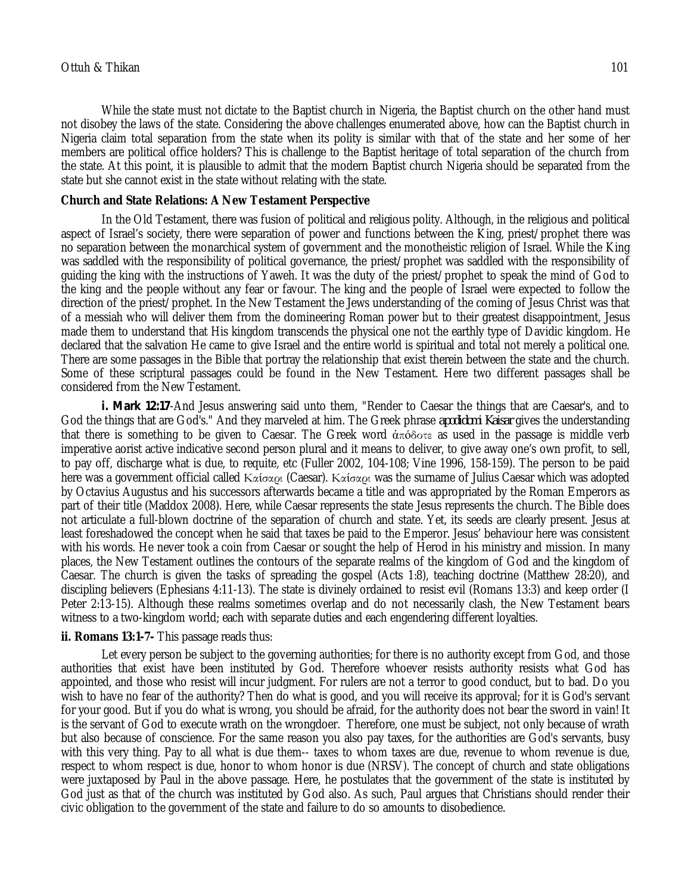While the state must not dictate to the Baptist church in Nigeria, the Baptist church on the other hand must not disobey the laws of the state. Considering the above challenges enumerated above, how can the Baptist church in Nigeria claim total separation from the state when its polity is similar with that of the state and her some of her members are political office holders? This is challenge to the Baptist heritage of total separation of the church from the state. At this point, it is plausible to admit that the modern Baptist church Nigeria should be separated from the state but she cannot exist in the state without relating with the state.

### **Church and State Relations: A New Testament Perspective**

In the Old Testament, there was fusion of political and religious polity. Although, in the religious and political aspect of Israel's society, there were separation of power and functions between the King, priest/prophet there was no separation between the monarchical system of government and the monotheistic religion of Israel. While the King was saddled with the responsibility of political governance, the priest/prophet was saddled with the responsibility of guiding the king with the instructions of Yaweh. It was the duty of the priest/prophet to speak the mind of God to the king and the people without any fear or favour. The king and the people of Israel were expected to follow the direction of the priest/prophet. In the New Testament the Jews understanding of the coming of Jesus Christ was that of a messiah who will deliver them from the domineering Roman power but to their greatest disappointment, Jesus made them to understand that His kingdom transcends the physical one not the earthly type of Davidic kingdom. He declared that the salvation He came to give Israel and the entire world is spiritual and total not merely a political one. There are some passages in the Bible that portray the relationship that exist therein between the state and the church. Some of these scriptural passages could be found in the New Testament. Here two different passages shall be considered from the New Testament.

*i. Mark 12:17*-And Jesus answering said unto them, "Render to Caesar the things that are Caesar's, and to God the things that are God's." And they marveled at him. The Greek phrase *apodidomi Kaisar* gives the understanding that there is something to be given to Caesar. The Greek word ἀπόδοτε as used in the passage is middle verb imperative aorist active indicative second person plural and it means to deliver, to give away one's own profit, to sell, to pay off, discharge what is due, to requite, etc (Fuller 2002, 104-108; Vine 1996, 158-159). The person to be paid here was a government official called Καίσαρι (Caesar). Καίσαρι was the surname of Julius Caesar which was adopted by Octavius Augustus and his successors afterwards became a title and was appropriated by the Roman Emperors as part of their title (Maddox 2008). Here, while Caesar represents the state Jesus represents the church. The Bible does not articulate a full-blown doctrine of the separation of church and state. Yet, its seeds are clearly present. Jesus at least foreshadowed the concept when he said that taxes be paid to the Emperor. Jesus' behaviour here was consistent with his words. He never took a coin from Caesar or sought the help of Herod in his ministry and mission. In many places, the New Testament outlines the contours of the separate realms of the kingdom of God and the kingdom of Caesar. The church is given the tasks of spreading the gospel (Acts 1:8), teaching doctrine (Matthew 28:20), and discipling believers (Ephesians 4:11-13). The state is divinely ordained to resist evil (Romans 13:3) and keep order (I Peter 2:13-15). Although these realms sometimes overlap and do not necessarily clash, the New Testament bears witness to a two-kingdom world; each with separate duties and each engendering different loyalties.

#### **ii. Romans 13:1-7-** This passage reads thus:

Let every person be subject to the governing authorities; for there is no authority except from God, and those authorities that exist have been instituted by God. Therefore whoever resists authority resists what God has appointed, and those who resist will incur judgment. For rulers are not a terror to good conduct, but to bad. Do you wish to have no fear of the authority? Then do what is good, and you will receive its approval; for it is God's servant for your good. But if you do what is wrong, you should be afraid, for the authority does not bear the sword in vain! It is the servant of God to execute wrath on the wrongdoer. Therefore, one must be subject, not only because of wrath but also because of conscience. For the same reason you also pay taxes, for the authorities are God's servants, busy with this very thing. Pay to all what is due them-- taxes to whom taxes are due, revenue to whom revenue is due, respect to whom respect is due, honor to whom honor is due (NRSV). The concept of church and state obligations were juxtaposed by Paul in the above passage. Here, he postulates that the government of the state is instituted by God just as that of the church was instituted by God also. As such, Paul argues that Christians should render their civic obligation to the government of the state and failure to do so amounts to disobedience.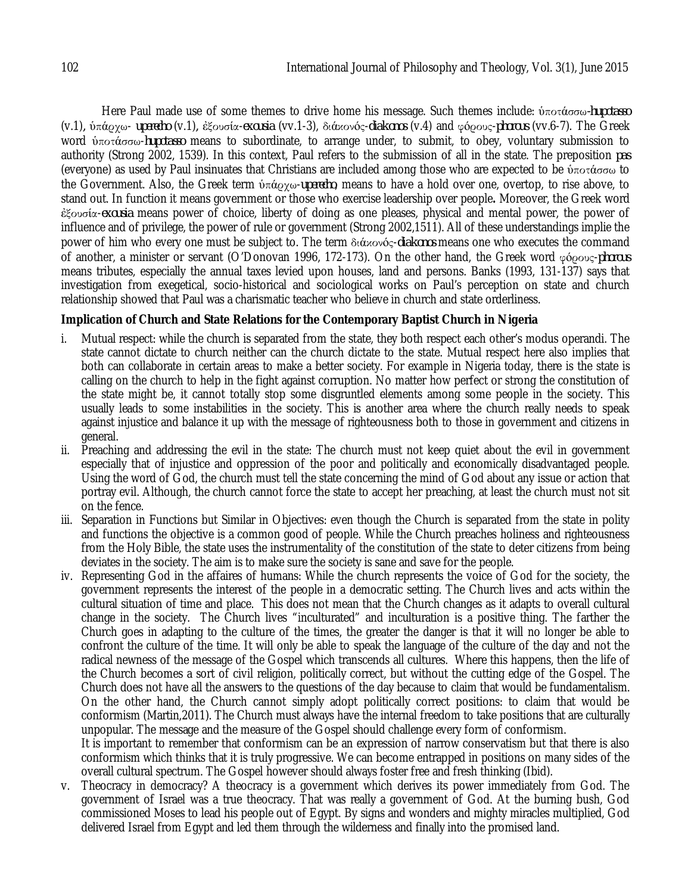Here Paul made use of some themes to drive home his message. Such themes include: ὑποτάσσω*-hupotasso*  (v.1)*,* ὑπάρχω- *uperecho* (v.1)*,* ἐξουσία-*exousia* (vv.1-3), διάκονός-*diakonos* (v.4) and φόρους-*phorous* (vv.6-7). The Greek word ὑποτάσσω-*hupotasso* means to subordinate, to arrange under, to submit, to obey, voluntary submission to authority (Strong 2002, 1539). In this context, Paul refers to the submission of all in the state. The preposition *pas* (everyone) as used by Paul insinuates that Christians are included among those who are expected to be ὑποτάσσω to the Government. Also, the Greek term ὑπάρχω-*uperecho*, means to have a hold over one, overtop, to rise above, to stand out. In function it means government or those who exercise leadership over people**.** Moreover, the Greek word ἐξουσία-*exousia* means power of choice, liberty of doing as one pleases, physical and mental power, the power of influence and of privilege, the power of rule or government (Strong 2002,1511). All of these understandings implie the power of him who every one must be subject to. The term διάκονός-*diakonos* means one who executes the command of another, a minister or servant (O'Donovan 1996, 172-173). On the other hand, the Greek word φόρους-*phorous* means tributes, especially the annual taxes levied upon houses, land and persons. Banks (1993, 131-137) says that investigation from exegetical, socio-historical and sociological works on Paul's perception on state and church relationship showed that Paul was a charismatic teacher who believe in church and state orderliness.

# **Implication of Church and State Relations for the Contemporary Baptist Church in Nigeria**

- i. Mutual respect: while the church is separated from the state, they both respect each other's modus operandi. The state cannot dictate to church neither can the church dictate to the state. Mutual respect here also implies that both can collaborate in certain areas to make a better society. For example in Nigeria today, there is the state is calling on the church to help in the fight against corruption. No matter how perfect or strong the constitution of the state might be, it cannot totally stop some disgruntled elements among some people in the society. This usually leads to some instabilities in the society. This is another area where the church really needs to speak against injustice and balance it up with the message of righteousness both to those in government and citizens in general.
- ii. Preaching and addressing the evil in the state: The church must not keep quiet about the evil in government especially that of injustice and oppression of the poor and politically and economically disadvantaged people. Using the word of God, the church must tell the state concerning the mind of God about any issue or action that portray evil. Although, the church cannot force the state to accept her preaching, at least the church must not sit on the fence.
- iii. Separation in Functions but Similar in Objectives: even though the Church is separated from the state in polity and functions the objective is a common good of people. While the Church preaches holiness and righteousness from the Holy Bible, the state uses the instrumentality of the constitution of the state to deter citizens from being deviates in the society. The aim is to make sure the society is sane and save for the people.
- iv. Representing God in the affaires of humans: While the church represents the voice of God for the society, the government represents the interest of the people in a democratic setting. The Church lives and acts within the cultural situation of time and place. This does not mean that the Church changes as it adapts to overall cultural change in the society. The Church lives "inculturated" and inculturation is a positive thing. The farther the Church goes in adapting to the culture of the times, the greater the danger is that it will no longer be able to confront the culture of the time. It will only be able to speak the language of the culture of the day and not the radical newness of the message of the Gospel which transcends all cultures. Where this happens, then the life of the Church becomes a sort of civil religion, politically correct, but without the cutting edge of the Gospel. The Church does not have all the answers to the questions of the day because to claim that would be fundamentalism. On the other hand, the Church cannot simply adopt politically correct positions: to claim that would be conformism (Martin,2011). The Church must always have the internal freedom to take positions that are culturally unpopular. The message and the measure of the Gospel should challenge every form of conformism.

It is important to remember that conformism can be an expression of narrow conservatism but that there is also conformism which thinks that it is truly progressive. We can become entrapped in positions on many sides of the overall cultural spectrum. The Gospel however should always foster free and fresh thinking (Ibid).

v. Theocracy in democracy? A theocracy is a government which derives its power immediately from God. The government of Israel was a true theocracy. That was really a government of God. At the burning bush, God commissioned Moses to lead his people out of Egypt. By signs and wonders and mighty miracles multiplied, God delivered Israel from Egypt and led them through the wilderness and finally into the promised land.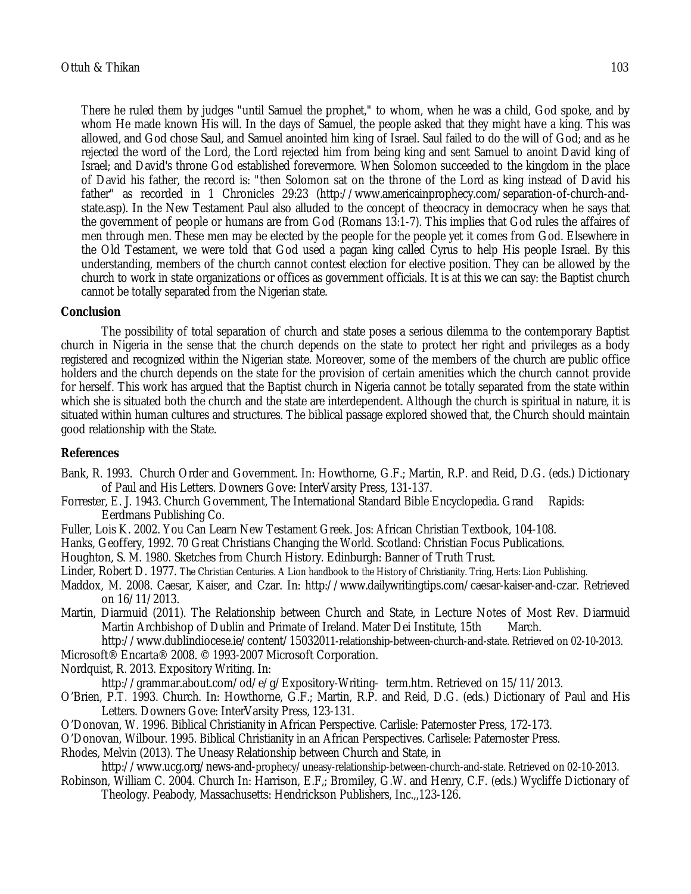There he ruled them by judges "until Samuel the prophet," to whom, when he was a child, God spoke, and by whom He made known His will. In the days of Samuel, the people asked that they might have a king. This was allowed, and God chose Saul, and Samuel anointed him king of Israel. Saul failed to do the will of God; and as he rejected the word of the Lord, the Lord rejected him from being king and sent Samuel to anoint David king of Israel; and David's throne God established forevermore. When Solomon succeeded to the kingdom in the place of David his father, the record is: "then Solomon sat on the throne of the Lord as king instead of David his father" as recorded in 1 Chronicles 29:23 (http://www.americainprophecy.com/separation-of-church-andstate.asp). In the New Testament Paul also alluded to the concept of theocracy in democracy when he says that the government of people or humans are from God (Romans 13:1-7). This implies that God rules the affaires of men through men. These men may be elected by the people for the people yet it comes from God. Elsewhere in the Old Testament, we were told that God used a pagan king called Cyrus to help His people Israel. By this understanding, members of the church cannot contest election for elective position. They can be allowed by the church to work in state organizations or offices as government officials. It is at this we can say: the Baptist church cannot be totally separated from the Nigerian state.

## **Conclusion**

The possibility of total separation of church and state poses a serious dilemma to the contemporary Baptist church in Nigeria in the sense that the church depends on the state to protect her right and privileges as a body registered and recognized within the Nigerian state. Moreover, some of the members of the church are public office holders and the church depends on the state for the provision of certain amenities which the church cannot provide for herself. This work has argued that the Baptist church in Nigeria cannot be totally separated from the state within which she is situated both the church and the state are interdependent. Although the church is spiritual in nature, it is situated within human cultures and structures. The biblical passage explored showed that, the Church should maintain good relationship with the State.

# **References**

- Bank, R. 1993. Church Order and Government. In: Howthorne, G.F.; Martin, R.P. and Reid, D.G. (eds.) Dictionary of Paul and His Letters. Downers Gove: InterVarsity Press, 131-137.
- Forrester, E. J. 1943. Church Government, The International Standard Bible Encyclopedia. Grand Rapids: Eerdmans Publishing Co.
- Fuller, Lois K. 2002. You Can Learn New Testament Greek. Jos: African Christian Textbook, 104-108.
- Hanks, Geoffery, 1992. 70 Great Christians Changing the World. Scotland: Christian Focus Publications.

Houghton, S. M. 1980. Sketches from Church History. Edinburgh: Banner of Truth Trust.

- Linder, Robert D. 1977. The Christian Centuries. A Lion handbook to the History of Christianity. Tring, Herts: Lion Publishing.
- Maddox, M. 2008. Caesar, Kaiser, and Czar. In: http://www.dailywritingtips.com/caesar-kaiser-and-czar. Retrieved on 16/11/2013.
- Martin, Diarmuid (2011). The Relationship between Church and State, in Lecture Notes of Most Rev. Diarmuid Martin Archbishop of Dublin and Primate of Ireland. Mater Dei Institute. 15th March. Martin Archbishop of Dublin and Primate of Ireland. Mater Dei Institute, 15th

http://www.dublindiocese.ie/content/15032011-relationship-between-church-and-state. Retrieved on 02-10-2013.

- Microsoft® Encarta® 2008. © 1993-2007 Microsoft Corporation.
- Nordquist, R. 2013. Expository Writing. In:

http://grammar.about.com/od/e/g/Expository-Writing- term.htm. Retrieved on 15/11/2013.

- O'Brien, P.T. 1993. Church. In: Howthorne, G.F.; Martin, R.P. and Reid, D.G. (eds.) Dictionary of Paul and His Letters. Downers Gove: InterVarsity Press, 123-131.
- O'Donovan, W. 1996. Biblical Christianity in African Perspective. Carlisle: Paternoster Press, 172-173.
- O'Donovan, Wilbour. 1995. Biblical Christianity in an African Perspectives. Carlisele: Paternoster Press.

Rhodes, Melvin (2013). The Uneasy Relationship between Church and State, in

http://www.ucg.org/news-and-prophecy/uneasy-relationship-between-church-and-state. Retrieved on 02-10-2013. Robinson, William C. 2004. Church In: Harrison, E.F.; Bromiley, G.W. and Henry, C.F. (eds.) Wycliffe Dictionary of

Theology. Peabody, Massachusetts: Hendrickson Publishers, Inc.,,123-126.